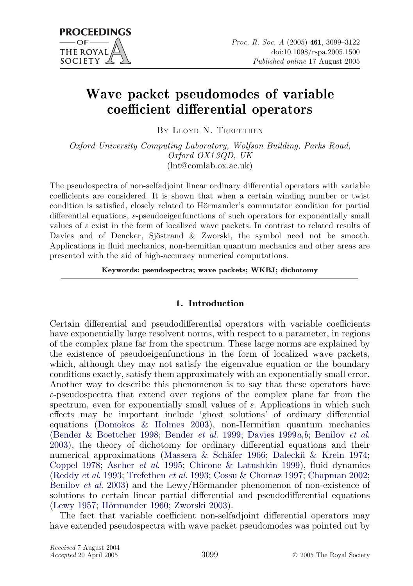# Wave packet pseudomodes of variable coefficient differential operators

BY LLOYD N. TREFETHEN

Oxford University Computing Laboratory, Wolfson Building, Parks Road, Oxford OX1 3QD, UK (lnt@comlab.ox.ac.uk)

The pseudospectra of non-selfadjoint linear ordinary differential operators with variable coefficients are considered. It is shown that when a certain winding number or twist condition is satisfied, closely related to Hörmander's commutator condition for partial differential equations,  $\varepsilon$ -pseudoeigenfunctions of such operators for exponentially small values of  $\varepsilon$  exist in the form of localized wave packets. In contrast to related results of Davies and of Dencker, Sjöstrand  $\&$  Zworski, the symbol need not be smooth. Applications in fluid mechanics, non-hermitian quantum mechanics and other areas are presented with the aid of high-accuracy numerical computations.

Keywords: pseudospectra; wave packets; WKBJ; dichotomy

# 1. Introduction

Certain differential and pseudodifferential operators with variable coefficients have exponentially large resolvent norms, with respect to a parameter, in regions of the complex plane far from the spectrum. These large norms are explained by the existence of pseudoeigenfunctions in the form of localized wave packets, which, although they may not satisfy the eigenvalue equation or the boundary conditions exactly, satisfy them approximately with an exponentially small error. Another way to describe this phenomenon is to say that these operators have  $\varepsilon$ -pseudospectra that extend over regions of the complex plane far from the spectrum, even for exponentially small values of  $\varepsilon$ . Applications in which such effects may be important include 'ghost solutions' of ordinary differential equations ([Domokos & Holmes 2003\)](#page-22-0), non-Hermitian quantum mechanics [\(Bender & Boettcher 1998](#page-21-0); [Bender](#page-21-0) et al. 1999; [Davies 1999](#page-22-0)a,[b](#page-22-0); [Benilov](#page-21-0) et al. [2003](#page-21-0)), the theory of dichotomy for ordinary differential equations and their numerical approximations (Massera & Schäfer 1966; [Daleckii & Krein 1974;](#page-22-0) [Coppel 1978;](#page-22-0) [Ascher](#page-21-0) et al. 1995; [Chicone & Latushkin 1999](#page-21-0)), fluid dynamics [\(Reddy](#page-22-0) et al. 1993; [Trefethen](#page-23-0) et al. 1993; [Cossu & Chomaz 1997;](#page-22-0) [Chapman 2002;](#page-21-0) [Benilov](#page-21-0) *et al.* 2003) and the Lewy/Hörmander phenomenon of non-existence of solutions to certain linear partial differential and pseudodifferential equations [\(Lewy 1957;](#page-22-0) Hörmander 1960; [Zworski 2003](#page-23-0)).

The fact that variable coefficient non-selfadjoint differential operators may have extended pseudospectra with wave packet pseudomodes was pointed out by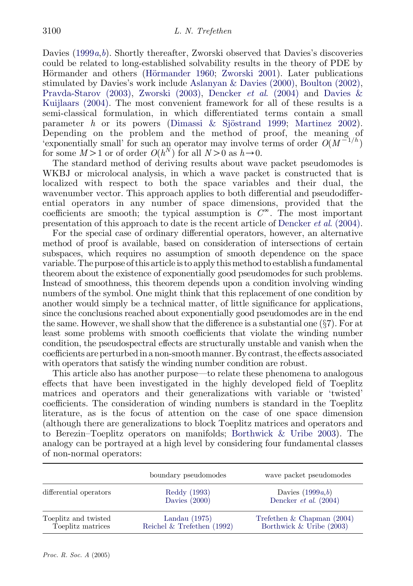Davies  $(1999a, b)$  $(1999a, b)$  $(1999a, b)$  $(1999a, b)$  $(1999a, b)$ . Shortly thereafter, Zworski observed that Davies's discoveries could be related to long-established solvability results in the theory of PDE by Hörmander and others (Hörmander 1960; [Zworski 2001](#page-23-0)). Later publications stimulated by Davies's work include [Aslanyan & Davies \(2000\)](#page-21-0), [Boulton \(2002\)](#page-21-0), [Pravda-Starov \(2003\),](#page-22-0) [Zworski \(2003\),](#page-23-0) Dencker et al[. \(2004\)](#page-22-0) and [Davies &](#page-22-0) [Kuijlaars \(2004\).](#page-22-0) The most convenient framework for all of these results is a semi-classical formulation, in which differentiated terms contain a small parameter h or its powers (Dimassi & Sjöstrand 1999; [Martinez 2002\)](#page-22-0). Depending on the problem and the method of proof, the meaning of 'exponentially small' for such an operator may involve terms of order  $O(M^{-1/h})$ for some  $M > 1$  or of order  $O(h^N)$  for all  $N > 0$  as  $h \rightarrow 0$ .

The standard method of deriving results about wave packet pseudomodes is WKBJ or microlocal analysis, in which a wave packet is constructed that is localized with respect to both the space variables and their dual, the wavenumber vector. This approach applies to both differential and pseudodifferential operators in any number of space dimensions, provided that the coefficients are smooth; the typical assumption is  $C^{\infty}$ . The most important presentation of this approach to date is the recent article of [Dencker](#page-22-0) et al. (2004).

For the special case of ordinary differential operators, however, an alternative method of proof is available, based on consideration of intersections of certain subspaces, which requires no assumption of smooth dependence on the space variable. The purpose of this article is to apply this method to establish a fundamental theorem about the existence of exponentially good pseudomodes for such problems. Instead of smoothness, this theorem depends upon a condition involving winding numbers of the symbol. One might think that this replacement of one condition by another would simply be a technical matter, of little significance for applications, since the conclusions reached about exponentially good pseudomodes are in the end the same. However, we shall show that the difference is a substantial one (§7). For at least some problems with smooth coefficients that violate the winding number condition, the pseudospectral effects are structurally unstable and vanish when the coefficients are perturbed in a non-smooth manner. By contrast, the effects associated with operators that satisfy the winding number condition are robust.

This article also has another purpose—to relate these phenomena to analogous effects that have been investigated in the highly developed field of Toeplitz matrices and operators and their generalizations with variable or 'twisted' coefficients. The consideration of winding numbers is standard in the Toeplitz literature, as is the focus of attention on the case of one space dimension (although there are generalizations to block Toeplitz matrices and operators and to Berezin–Toeplitz operators on manifolds; [Borthwick & Uribe 2003](#page-21-0)). The analogy can be portrayed at a high level by considering four fundamental classes of non-normal operators:

|                                           | boundary pseudomodes                            | wave packet pseudomodes                                    |
|-------------------------------------------|-------------------------------------------------|------------------------------------------------------------|
| differential operators                    | Reddy (1993)<br>Davies $(2000)$                 | Davies $(1999a,b)$<br>Dencker <i>et al.</i> $(2004)$       |
| Toeplitz and twisted<br>Toeplitz matrices | Landau $(1975)$<br>Reichel & Trefethen $(1992)$ | Trefethen & Chapman $(2004)$<br>Borthwick & Uribe $(2003)$ |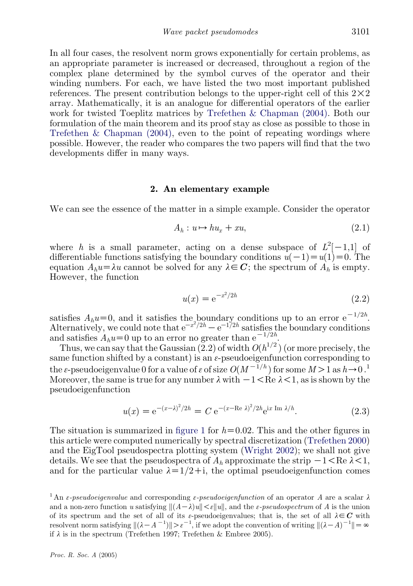In all four cases, the resolvent norm grows exponentially for certain problems, as an appropriate parameter is increased or decreased, throughout a region of the complex plane determined by the symbol curves of the operator and their winding numbers. For each, we have listed the two most important published references. The present contribution belongs to the upper-right cell of this  $2 \times 2$ array. Mathematically, it is an analogue for differential operators of the earlier work for twisted Toeplitz matrices by [Trefethen & Chapman \(2004\)](#page-23-0). Both our formulation of the main theorem and its proof stay as close as possible to those in Trefethen & Chapman  $(2004)$ , even to the point of repeating wordings where possible. However, the reader who compares the two papers will find that the two developments differ in many ways.

## 2. An elementary example

We can see the essence of the matter in a simple example. Consider the operator

$$
A_h: u \mapsto hu_x + xu,
$$
\n<sup>(2.1)</sup>

where h is a small parameter, acting on a dense subspace of  $L^2[-1,1]$  of differentiable functions satisfying the boundary conditions  $u(-1) = u(1) = 0$ . The equation  $A_h u = \lambda u$  cannot be solved for any  $\lambda \in \mathbb{C}$ ; the spectrum of  $A_h$  is empty. However, the function

$$
u(x) = e^{-x^2/2h}
$$
 (2.2)

satisfies  $A_h u = 0$ , and it satisfies the boundary conditions up to an error  $e^{-1/2h}$ . Alternatively, we could note that  $e^{-x^2/2h}-e^{-1/2h}$  satisfies the boundary conditions and satisfies  $A_h u = 0$  up to an error no greater than  $e^{-1/2h}$ .

Thus, we can say that the Gaussian  $(2.2)$  of width  $O(h^{1/2})$  (or more precisely, the same function shifted by a constant) is an  $\varepsilon$ -pseudoeigenfunction corresponding to the  $\varepsilon$ -pseudoeigenvalue 0 for a value of  $\varepsilon$  of size  $O(M^{-1/h})$  for some  $M > 1$  as  $h \rightarrow 0$ .<sup>1</sup> Moreover, the same is true for any number  $\lambda$  with  $-1 <$ Re  $\lambda < 1$ , as is shown by the pseudoeigenfunction

$$
u(x) = e^{-(x-\lambda)^2/2h} = C e^{-(x-\text{Re }\lambda)^2/2h} e^{ix \text{ Im }\lambda/h}.
$$
 (2.3)

The situation is summarized in [figure 1](#page-3-0) for  $h=0.02$ . This and the other figures in this article were computed numerically by spectral discretization [\(Trefethen 2000\)](#page-23-0) and the EigTool pseudospectra plotting system ([Wright 2002](#page-23-0)); we shall not give details. We see that the pseudospectra of  $A_h$  approximate the strip  $-1 \leq R$ e  $\lambda \leq 1$ , and for the particular value  $\lambda=1/2+i$ , the optimal pseudoeigenfunction comes

<sup>&</sup>lt;sup>1</sup> An *ε-pseudoeigenvalue* and corresponding *ε-pseudoeigenfunction* of an operator A are a scalar  $\lambda$ and a non-zero function u satisfying  $||(A-\lambda)u|| < \varepsilon ||u||$ , and the  $\varepsilon$ -pseudospectrum of A is the union of its spectrum and the set of all of its  $\varepsilon$ -pseudoeigenvalues; that is, the set of all  $\lambda \in C$  with resolvent norm satisfying  $\| (\lambda - A^{-1}) \| > \varepsilon^{-1}$ , if we adopt the convention of writing  $\| (\lambda - A)^{-1} \| = \infty$ if  $\lambda$  is in the spectrum (Trefethen 1997; Trefethen & Embree 2005).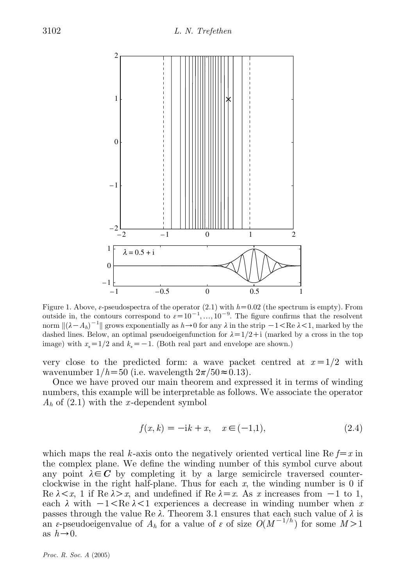<span id="page-3-0"></span>

Figure 1. Above,  $\varepsilon$ -pseudospectra of the operator (2.1) with  $h=0.02$  (the spectrum is empty). From outside in, the contours correspond to  $\varepsilon = 10^{-1}, \ldots, 10^{-9}$ . The figure confirms that the resolvent norm  $\| (\lambda - A_h)^{-1} \|$  grows exponentially as  $h \to 0$  for any  $\lambda$  in the strip  $-1 < \text{Re } \lambda < 1$ , marked by the dashed lines. Below, an optimal pseudoeigenfunction for  $\lambda=1/2+i$  (marked by a cross in the top image) with  $x_* = 1/2$  and  $k_* = -1$ . (Both real part and envelope are shown.)

very close to the predicted form: a wave packet centred at  $x=1/2$  with wavenumber  $1/h=50$  (i.e. wavelength  $2\pi/50\approx0.13$ ).

Once we have proved our main theorem and expressed it in terms of winding numbers, this example will be interpretable as follows. We associate the operator  $A_h$  of (2.1) with the x-dependent symbol

$$
f(x,k) = -ik + x, \quad x \in (-1,1), \tag{2.4}
$$

which maps the real k-axis onto the negatively oriented vertical line Re  $f=x$  in the complex plane. We define the winding number of this symbol curve about any point  $\lambda \in \mathbb{C}$  by completing it by a large semicircle traversed counterclockwise in the right half-plane. Thus for each  $x$ , the winding number is 0 if Re  $\lambda \leq x$ , 1 if Re  $\lambda \geq x$ , and undefined if Re  $\lambda = x$ . As x increases from  $-1$  to 1, each  $\lambda$  with  $-1 < Re \lambda < 1$  experiences a decrease in winding number when x passes through the value Re  $\lambda$ . Theorem 3.1 ensures that each such value of  $\lambda$  is an  $\varepsilon$ -pseudoeigenvalue of  $A_h$  for a value of  $\varepsilon$  of size  $O(M^{-1/h})$  for some  $M>1$ as  $h\rightarrow 0$ .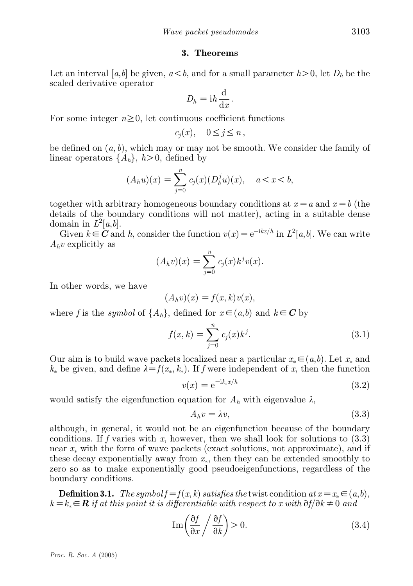## 3. Theorems

Let an interval [a,b] be given,  $a < b$ , and for a small parameter  $h > 0$ , let  $D_h$  be the scaled derivative operator

$$
D_h = \mathrm{i} h \frac{\mathrm{d}}{\mathrm{d} x}.
$$

For some integer  $n\geq0$ , let continuous coefficient functions

$$
c_j(x), \quad 0 \le j \le n\,,
$$

be defined on  $(a, b)$ , which may or may not be smooth. We consider the family of linear operators  $\{A_h\}, h>0$ , defined by

$$
(A_h u)(x) = \sum_{j=0}^n c_j(x) (D_h^j u)(x), \quad a < x < b,
$$

together with arbitrary homogeneous boundary conditions at  $x=a$  and  $x=b$  (the details of the boundary conditions will not matter), acting in a suitable dense domain in  $L^2[a,b]$ .

Given  $k \in \mathbb{C}$  and h, consider the function  $v(x) = e^{-ikx/h}$  in  $L^2[a, b]$ . We can write  $A_h v$  explicitly as

$$
(A_h v)(x) = \sum_{j=0}^n c_j(x) k^j v(x).
$$

In other words, we have

$$
(A_h v)(x) = f(x, k)v(x),
$$

where f is the symbol of  $\{A_h\}$ , defined for  $x \in (a,b)$  and  $k \in \mathbb{C}$  by

$$
f(x,k) = \sum_{j=0}^{n} c_j(x)k^j.
$$
 (3.1)

Our aim is to build wave packets localized near a particular  $x_* \in (a, b)$ . Let  $x_*$  and  $k_*$  be given, and define  $\lambda = f(x_*, k_*)$ . If f were independent of x, then the function

$$
v(x) = e^{-ik_*x/h}
$$
\n
$$
(3.2)
$$

would satisfy the eigenfunction equation for  $A_h$  with eigenvalue  $\lambda$ ,

$$
A_h v = \lambda v,\tag{3.3}
$$

although, in general, it would not be an eigenfunction because of the boundary conditions. If f varies with x, however, then we shall look for solutions to  $(3.3)$ near  $x_*$  with the form of wave packets (exact solutions, not approximate), and if these decay exponentially away from  $x_*$ , then they can be extended smoothly to zero so as to make exponentially good pseudoeigenfunctions, regardless of the boundary conditions.

**Definition 3.1.** The symbol  $f=f(x, k)$  satisfies the twist condition at  $x = x_* \in (a, b)$ ,  $k = k_* \in \mathbb{R}$  if at this point it is differentiable with respect to x with  $\partial f/\partial k \neq 0$  and

$$
\operatorname{Im}\left(\frac{\partial f}{\partial x}\bigg/\frac{\partial f}{\partial k}\right) > 0.\tag{3.4}
$$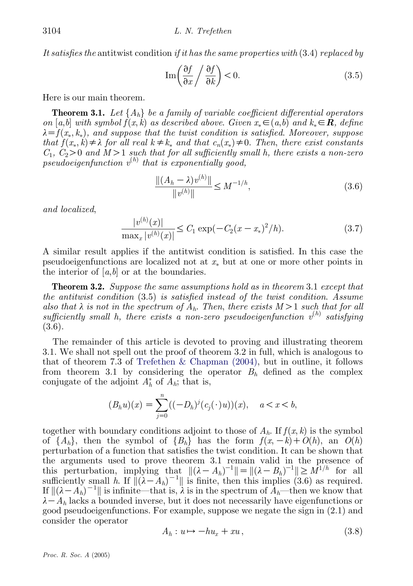It satisfies the antitwist condition if it has the same properties with  $(3.4)$  replaced by

$$
\operatorname{Im}\left(\frac{\partial f}{\partial x}\bigg/\frac{\partial f}{\partial k}\right) < 0.\tag{3.5}
$$

Here is our main theorem.

**Theorem 3.1.** Let  $\{A_h\}$  be a family of variable coefficient differential operators on [a,b] with symbol  $f(x, k)$  as described above. Given  $x_* \in (a, b)$  and  $k_* \in \mathbb{R}$ , define  $\lambda = f(x_*, k_*),$  and suppose that the twist condition is satisfied. Moreover, suppose that  $f(x_*, k) \neq \lambda$  for all real  $k \neq k_*$  and that  $c_n(x_*) \neq 0$ . Then, there exist constants  $C_1, C_2>0$  and  $M>1$  such that for all sufficiently small h, there exists a non-zero  $pseudoeigenfunction$   $v^{(h)}$  that is exponentially good,

$$
\frac{\|(A_h - \lambda)v^{(h)}\|}{\|v^{(h)}\|} \le M^{-1/h},\tag{3.6}
$$

and localized,

$$
\frac{|v^{(h)}(x)|}{\max_x |v^{(h)}(x)|} \le C_1 \exp(-C_2(x - x_*)^2/h). \tag{3.7}
$$

A similar result applies if the antitwist condition is satisfied. In this case the pseudoeigenfunctions are localized not at  $x_*$  but at one or more other points in the interior of  $[a,b]$  or at the boundaries.

**Theorem 3.2.** Suppose the same assumptions hold as in theorem 3.1 except that the antitwist condition (3.5) is satisfied instead of the twist condition. Assume also that  $\lambda$  is not in the spectrum of  $A_h$ . Then, there exists  $M > 1$  such that for all sufficiently small h, there exists a non-zero pseudoeigenfunction  $v^{(h)}$  satisfying (3.6).

The remainder of this article is devoted to proving and illustrating theorem 3.1. We shall not spell out the proof of theorem 3.2 in full, which is analogous to that of theorem 7.3 of Trefethen & Chapman  $(2004)$ , but in outline, it follows from theorem 3.1 by considering the operator  $B_h$  defined as the complex conjugate of the adjoint  $A_h^*$  of  $A_h$ ; that is,

$$
(B_h u)(x) = \sum_{j=0}^n ((-D_h)^j (c_j(\cdot)u))(x), \quad a < x < b,
$$

together with boundary conditions adjoint to those of  $A_h$ . If  $f(x, k)$  is the symbol of  $\{A_h\}$ , then the symbol of  $\{B_h\}$  has the form  $f(x, -k) + O(h)$ , an  $O(h)$ perturbation of a function that satisfies the twist condition. It can be shown that the arguments used to prove theorem 3.1 remain valid in the presence of this perturbation, implying that  $\| (\lambda - A_h)^{-1} \| = \| (\lambda - B_h)^{-1} \| \ge M^{1/h}$  for all sufficiently small h. If  $\|\tilde{(\lambda} - A_h)^{-1}\|$  is finite, then this implies (3.6) as required. If  $\| (\lambda - A_h)^{-1} \|$  is infinite—that is,  $\lambda$  is in the spectrum of  $A_h$ —then we know that  $\lambda - A_h$  lacks a bounded inverse, but it does not necessarily have eigenfunctions or good pseudoeigenfunctions. For example, suppose we negate the sign in (2.1) and consider the operator

$$
A_h: u \mapsto -hu_x + xu, \qquad (3.8)
$$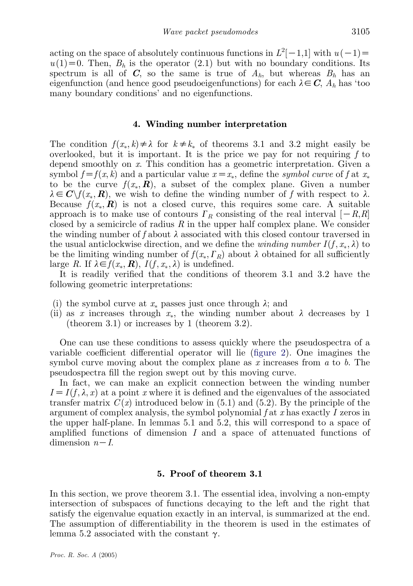acting on the space of absolutely continuous functions in  $L^2[-1,1]$  with  $u(-1)$ =  $u(1)=0$ . Then,  $B_h$  is the operator (2.1) but with no boundary conditions. Its spectrum is all of C, so the same is true of  $A_h$ , but whereas  $B_h$  has an eigenfunction (and hence good pseudoeigenfunctions) for each  $\lambda \in \mathbb{C}$ ,  $A_h$  has 'too many boundary conditions' and no eigenfunctions.

## 4. Winding number interpretation

The condition  $f(x_*, k) \neq \lambda$  for  $k \neq k_*$  of theorems 3.1 and 3.2 might easily be overlooked, but it is important. It is the price we pay for not requiring  $f$  to depend smoothly on x. This condition has a geometric interpretation. Given a symbol  $f=f(x, k)$  and a particular value  $x=x_*$ , define the symbol curve of f at  $x_*$ to be the curve  $f(x_*, \mathbf{R})$ , a subset of the complex plane. Given a number  $\lambda \in C \backslash f(x_*, R)$ , we wish to define the winding number of f with respect to  $\lambda$ . Because  $f(x_*, \mathbf{R})$  is not a closed curve, this requires some care. A suitable approach is to make use of contours  $\Gamma_R$  consisting of the real interval  $[-R,R]$ closed by a semicircle of radius  $R$  in the upper half complex plane. We consider the winding number of f about  $\lambda$  associated with this closed contour traversed in the usual anticlockwise direction, and we define the *winding number*  $I(f, x_*, \lambda)$  to be the limiting winding number of  $f(x_*, T_R)$  about  $\lambda$  obtained for all sufficiently large R. If  $\lambda \in f(x_*, \mathbf{R})$ ,  $I(f, x_*, \lambda)$  is undefined.

It is readily verified that the conditions of theorem 3.1 and 3.2 have the following geometric interpretations:

- (i) the symbol curve at  $x_*$  passes just once through  $\lambda$ ; and
- (ii) as x increases through  $x_*$ , the winding number about  $\lambda$  decreases by 1 (theorem 3.1) or increases by 1 (theorem 3.2).

One can use these conditions to assess quickly where the pseudospectra of a variable coefficient differential operator will lie [\(figure 2](#page-7-0)). One imagines the symbol curve moving about the complex plane as  $x$  increases from  $a$  to  $b$ . The pseudospectra fill the region swept out by this moving curve.

In fact, we can make an explicit connection between the winding number  $I = I(f, \lambda, x)$  at a point x where it is defined and the eigenvalues of the associated transfer matrix  $C(x)$  introduced below in (5.1) and (5.2). By the principle of the argument of complex analysis, the symbol polynomial  $f$  at  $x$  has exactly  $I$  zeros in the upper half-plane. In lemmas 5.1 and 5.2, this will correspond to a space of amplified functions of dimension  $I$  and a space of attenuated functions of dimension  $n-I$ .

## 5. Proof of theorem 3.1

In this section, we prove theorem 3.1. The essential idea, involving a non-empty intersection of subspaces of functions decaying to the left and the right that satisfy the eigenvalue equation exactly in an interval, is summarized at the end. The assumption of differentiability in the theorem is used in the estimates of lemma 5.2 associated with the constant  $\gamma$ .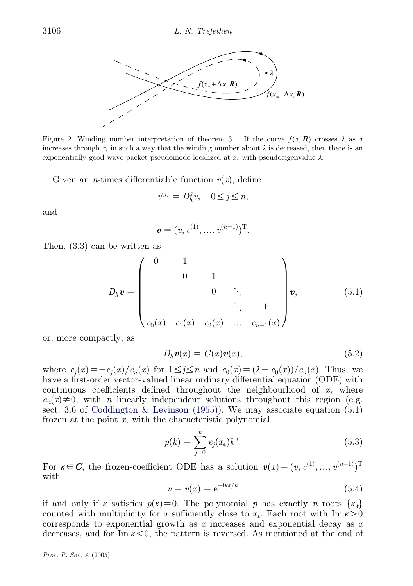<span id="page-7-0"></span>

Figure 2. Winding number interpretation of theorem 3.1. If the curve  $f(x, R)$  crosses  $\lambda$  as x increases through  $x_*$  in such a way that the winding number about  $\lambda$  is decreased, then there is an exponentially good wave packet pseudomode localized at  $x_*$  with pseudoeigenvalue  $\lambda$ .

Given an *n*-times differentiable function  $v(x)$ , define

$$
v^{(j)} = D_h^j v, \quad 0 \le j \le n,
$$

and

$$
\mathbf{v} = (v, v^{(1)}, \dots, v^{(n-1)})^{\mathrm{T}}.
$$

Then, (3.3) can be written as

$$
D_h \mathbf{v} = \begin{pmatrix} 0 & 1 & & & \\ & 0 & 1 & & \\ & & 0 & \ddots & \\ & & & \ddots & 1 \\ & & & & \ddots & 1 \\ e_0(x) & e_1(x) & e_2(x) & \dots & e_{n-1}(x) \end{pmatrix} \mathbf{v}, \qquad (5.1)
$$

or, more compactly, as

$$
D_h \mathbf{v}(x) = C(x)\mathbf{v}(x),\tag{5.2}
$$

where  $e_i(x) = -c_i(x)/c_n(x)$  for  $1 \leq j \leq n$  and  $e_0(x) = (\lambda - c_0(x))/c_n(x)$ . Thus, we have a first-order vector-valued linear ordinary differential equation (ODE) with continuous coefficients defined throughout the neighbourhood of  $x_*$  where  $c_n(x) \neq 0$ , with n linearly independent solutions throughout this region (e.g. sect. 3.6 of [Coddington & Levinson \(1955\)](#page-22-0)). We may associate equation (5.1) frozen at the point  $x_*$  with the characteristic polynomial

$$
p(k) = \sum_{j=0}^{n} e_j(x_*) k^j.
$$
 (5.3)

For  $\kappa \in \mathbb{C}$ , the frozen-coefficient ODE has a solution  $\mathbf{v}(x) = (v, v^{(1)}, \ldots, v^{(n-1)})^{\mathrm{T}}$ with

$$
v = v(x) = e^{-i\kappa x/h} \tag{5.4}
$$

if and only if k satisfies  $p(k)=0$ . The polynomial p has exactly n roots  $\{\kappa_\ell\}$ counted with multiplicity for x sufficiently close to  $x_*$ . Each root with  $\text{Im } \kappa > 0$ corresponds to exponential growth as x increases and exponential decay as  $x$ decreases, and for Im  $\kappa < 0$ , the pattern is reversed. As mentioned at the end of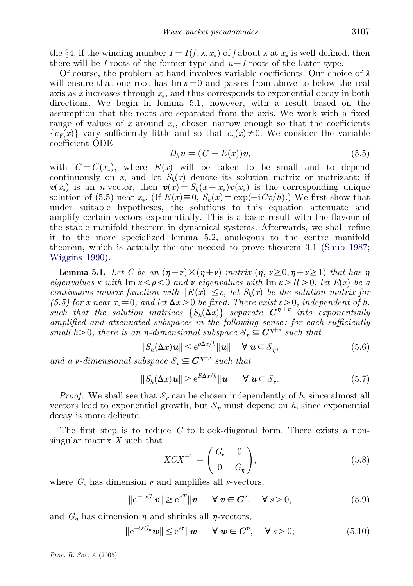the §4, if the winding number  $I = I(f, \lambda, x_*)$  of f about  $\lambda$  at  $x_*$  is well-defined, then there will be I roots of the former type and  $n-I$  roots of the latter type.

Of course, the problem at hand involves variable coefficients. Our choice of  $\lambda$ will ensure that one root has  $\text{Im } \kappa = 0$  and passes from above to below the real axis as  $x$  increases through  $x_*$ , and thus corresponds to exponential decay in both directions. We begin in lemma 5.1, however, with a result based on the assumption that the roots are separated from the axis. We work with a fixed range of values of x around  $x_*$ , chosen narrow enough so that the coefficients  ${c_{\varrho}(x)}$  vary sufficiently little and so that  $c_n(x) \neq 0$ . We consider the variable coefficient ODE

$$
D_h \mathbf{v} = (C + E(x))\mathbf{v},\tag{5.5}
$$

with  $C=C(x_*)$ , where  $E(x)$  will be taken to be small and to depend continuously on x, and let  $S_h(x)$  denote its solution matrix or matrizant: if  $v(x_*)$  is an *n*-vector, then  $v(x) = S_h(x-x_*)v(x_*)$  is the corresponding unique solution of (5.5) near  $x_*$ . (If  $E(x) \equiv 0$ ,  $S_h(x) = \exp(-iCx/h)$ .) We first show that under suitable hypotheses, the solutions to this equation attenuate and amplify certain vectors exponentially. This is a basic result with the flavour of the stable manifold theorem in dynamical systems. Afterwards, we shall refine it to the more specialized lemma 5.2, analogous to the centre manifold theorem, which is actually the one needed to prove theorem 3.1 ([Shub 1987;](#page-22-0) [Wiggins 1990\)](#page-23-0).

**Lemma 5.1.** Let C be an  $(\eta+\nu)\times(\eta+\nu)$  matrix  $(\eta, \nu\geq0, \eta+\nu\geq1)$  that has  $\eta$ eigenvalues k with Im  $\kappa < \rho < 0$  and v eigenvalues with Im  $\kappa > R > 0$ , let  $E(x)$  be a continuous matrix function with  $||E(x)|| \leq \varepsilon$ , let  $S_h(x)$  be the solution matrix for (5.5) for x near  $x_* = 0$ , and let  $\Delta x > 0$  be fixed. There exist  $\varepsilon > 0$ , independent of h, such that the solution matrices  $\{S_h(\Delta x)\}\$  separate  $C^{\eta+\nu}$  into exponentially amplified and attenuated subspaces in the following sense: for each sufficiently small h>0, there is an  $\eta$ -dimensional subspace  $\mathcal{S}_n \subseteq \mathbb{C}^{\eta+v}$  such that

$$
||S_h(\Delta x)u|| \le e^{\rho \Delta x/h} ||u|| \quad \forall \ u \in \mathcal{S}_\eta,
$$
\n(5.6)

and a v-dimensional subspace  $\mathcal{S}_v \subseteq \mathbb{C}^{\eta+v}$  such that

$$
||S_h(\Delta x)u|| \ge e^{R\Delta x/h}||u|| \quad \forall \ u \in S_\nu.
$$
 (5.7)

*Proof.* We shall see that  $\mathcal{S}_{\nu}$  can be chosen independently of h, since almost all vectors lead to exponential growth, but  $\mathcal{S}_n$  must depend on h, since exponential decay is more delicate.

The first step is to reduce  $C$  to block-diagonal form. There exists a nonsingular matrix X such that  $\sqrt{a}$   $\sqrt{b}$ 

$$
XCX^{-1} = \begin{pmatrix} G_v & 0 \\ 0 & G_\eta \end{pmatrix},\tag{5.8}
$$

where  $G_{\nu}$  has dimension  $\nu$  and amplifies all  $\nu$ -vectors,

$$
\|\mathbf{e}^{-\mathrm{i}sG_y}\mathbf{v}\| \ge \mathbf{e}^{sT} \|\mathbf{v}\| \quad \forall \mathbf{v} \in \mathbf{C}^y, \quad \forall s > 0,
$$
\n
$$
(5.9)
$$

and  $G_n$  has dimension  $\eta$  and shrinks all  $\eta$ -vectors,

$$
\|\mathbf{e}^{-\mathrm{i}sG_{\eta}}\mathbf{w}\| \le \mathbf{e}^{s\tau} \|\mathbf{w}\| \quad \forall \mathbf{w} \in \mathbf{C}^{\eta}, \quad \forall s > 0; \tag{5.10}
$$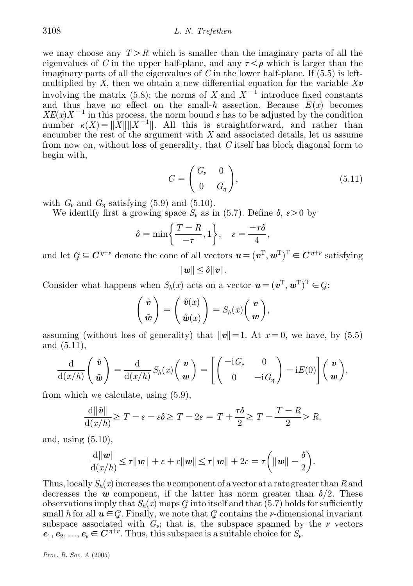## 3108 L. N. Trefethen

we may choose any  $T > R$  which is smaller than the imaginary parts of all the eigenvalues of C in the upper half-plane, and any  $\tau < \rho$  which is larger than the imaginary parts of all the eigenvalues of C in the lower half-plane. If  $(5.5)$  is leftmultiplied by  $X$ , then we obtain a new differential equation for the variable  $Xv$ involving the matrix (5.8); the norms of X and  $X^{-1}$  introduce fixed constants and thus have no effect on the small-h assertion. Because  $E(x)$  becomes  $XE(x)X^{-1}$  in this process, the norm bound  $\varepsilon$  has to be adjusted by the condition number  $\kappa(X) = ||X|| ||X^{-1}||$ . All this is straightforward, and rather than encumber the rest of the argument with  $X$  and associated details, let us assume from now on, without loss of generality, that C itself has block diagonal form to begin with,

$$
C = \begin{pmatrix} G_{\nu} & 0 \\ 0 & G_{\eta} \end{pmatrix}, \tag{5.11}
$$

with  $G_{\nu}$  and  $G_{n}$  satisfying (5.9) and (5.10).

We identify first a growing space  $S_{\nu}$  as in (5.7). Define  $\delta$ ,  $\varepsilon > 0$  by

$$
\delta = \min\left\{\frac{T - R}{-\tau}, 1\right\}, \quad \varepsilon = \frac{-\tau \delta}{4},
$$

and let  $\mathcal{G} \subseteq \mathbb{C}^{\eta+\nu}$  denote the cone of all vectors  $\mathbf{u} = (\mathbf{v}^T, \mathbf{w}^T)^T \in \mathbb{C}^{\eta+\nu}$  satisfying  $||w|| \leq \delta ||v||.$ 

Consider what happens when  $S_h(x)$  acts on a vector  $\mathbf{u} = (\mathbf{v}^T, \mathbf{w}^T)^T \in \mathcal{G}$ :

$$
\begin{pmatrix} \tilde{\boldsymbol{v}} \\ \tilde{\boldsymbol{w}} \end{pmatrix} = \begin{pmatrix} \tilde{\boldsymbol{v}}(x) \\ \tilde{\boldsymbol{w}}(x) \end{pmatrix} = S_h(x) \begin{pmatrix} \boldsymbol{v} \\ \boldsymbol{w} \end{pmatrix},
$$

assuming (without loss of generality) that  $||v||=1$ . At  $x=0$ , we have, by (5.5) and (5.11),

$$
\frac{\mathrm{d}}{\mathrm{d}(x/h)}\left(\begin{array}{c}\tilde{\boldsymbol{v}}\\\tilde{\boldsymbol{w}}\end{array}\right)=\frac{\mathrm{d}}{\mathrm{d}(x/h)}S_h(x)\left(\begin{array}{c}\boldsymbol{v}\\\boldsymbol{w}\end{array}\right)=\left[\left(\begin{array}{cc}-\mathrm{i}\,G_{\boldsymbol{v}}&0\\0&-\mathrm{i}\,G_{\boldsymbol{\eta}}\end{array}\right)-\mathrm{i}E(0)\right]\left(\begin{array}{c}\boldsymbol{v}\\\boldsymbol{w}\end{array}\right),
$$

from which we calculate, using (5.9),

$$
\frac{\mathrm{d}\|\tilde{\mathbf{v}}\|}{\mathrm{d}(x/h)} \geq T - \varepsilon - \varepsilon \delta \geq T - 2\varepsilon = T + \frac{\tau \delta}{2} \geq T - \frac{T - R}{2} > R,
$$

and, using (5.10),

$$
\frac{\mathrm{d}\|\boldsymbol{w}\|}{\mathrm{d}(x/h)} \leq \tau \|\boldsymbol{w}\| + \varepsilon + \varepsilon \|\boldsymbol{w}\| \leq \tau \|\boldsymbol{w}\| + 2\varepsilon = \tau \bigg(\|\boldsymbol{w}\| - \frac{\delta}{2}\bigg).
$$

Thus, locally  $S_h(x)$  increases the v component of a vector at a rate greater than R and decreases the w component, if the latter has norm greater than  $\delta/2$ . These observations imply that  $S_h(x)$  maps  $\mathcal G$  into itself and that (5.7) holds for sufficiently small h for all  $u \in \mathcal{G}$ . Finally, we note that  $\mathcal G$  contains the *v*-dimensional invariant subspace associated with  $G_{\nu}$ ; that is, the subspace spanned by the  $\nu$  vectors  $e_1, e_2, \ldots, e_\nu \in C^{\eta+\nu}$ . Thus, this subspace is a suitable choice for  $S_\nu$ .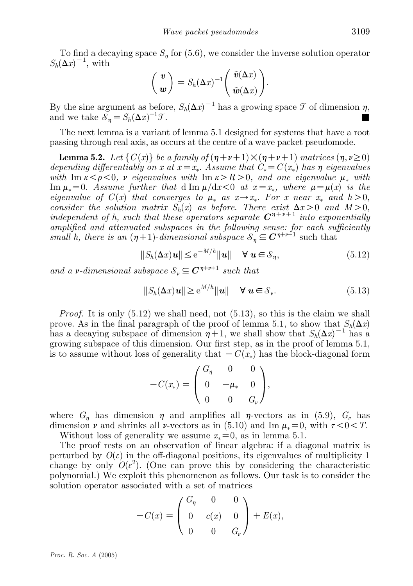To find a decaying space  $S_n$  for (5.6), we consider the inverse solution operator  $S_h(\Delta x)^{-1}$ , with  $\left( \tilde{z}(\Lambda) \right)$ 

$$
\begin{pmatrix} \boldsymbol{v} \\ \boldsymbol{w} \end{pmatrix} = S_h(\Delta x)^{-1} \begin{pmatrix} \tilde{\boldsymbol{v}}(\Delta x) \\ \tilde{\boldsymbol{w}}(\Delta x) \end{pmatrix}.
$$

By the sine argument as before,  $S_h(\Delta x)^{-1}$  has a growing space  $\mathcal T$  of dimension  $\eta$ , and we take  $\mathcal{S}_{\eta} = S_h(\Delta x)^{-1}$  $\sigma$ .

The next lemma is a variant of lemma 5.1 designed for systems that have a root passing through real axis, as occurs at the centre of a wave packet pseudomode.

**Lemma 5.2.** Let  $\{C(x)\}\$ be a family of  $(\eta+\nu+1)\times(\eta+\nu+1)$  matrices  $(\eta, \nu\geq 0)$ depending differentiably on x at  $x = x_*$ . Assume that  $C_* = C(x_*)$  has  $\eta$  eigenvalues with Im  $\kappa < \rho < 0$ , v eigenvalues with Im  $\kappa > R > 0$ , and one eigenvalue  $\mu_*$  with  $\text{Im }\mu_*=0.$  Assume further that d  $\text{Im }\mu/\text{d}x<0$  at  $x=x_*$ , where  $\mu=\mu(x)$  is the eigenvalue of  $C(x)$  that converges to  $\mu_*$  as  $x \to x_*$ . For x near  $x_*$  and  $h > 0$ , consider the solution matrix  $S_h(x)$  as before. There exist  $\Delta x > 0$  and  $M > 0$ , independent of h, such that these operators separate  $C^{\eta+\nu+1}$  into exponentially amplified and attenuated subspaces in the following sense: for each sufficiently small h, there is an  $(\eta+1)$ -dimensional subspace  $S_{\eta} \subseteq C^{\eta+\nu+1}$  such that

$$
||S_h(\Delta x)u|| \le e^{-M/h}||u|| \quad \forall \ u \in \mathcal{S}_\eta,\tag{5.12}
$$

and a v-dimensional subspace  $S_n \subseteq \mathbb{C}^{n+\nu+1}$  such that

$$
||S_h(\Delta x)u|| \ge e^{M/h}||u|| \quad \forall \ u \in S_\nu.
$$
 (5.13)

*Proof.* It is only  $(5.12)$  we shall need, not  $(5.13)$ , so this is the claim we shall prove. As in the final paragraph of the proof of lemma 5.1, to show that  $S_h(\Delta x)$ has a decaying subspace of dimension  $\eta + 1$ , we shall show that  $S_h(\Delta x)^{-1}$  has a growing subspace of this dimension. Our first step, as in the proof of lemma 5.1, is to assume without loss of generality that  $-C(x_*)$  has the block-diagonal form

$$
-C(x_*) = \begin{pmatrix} G_{\eta} & 0 & 0 \\ 0 & -\mu_* & 0 \\ 0 & 0 & G_{\nu} \end{pmatrix},
$$

where  $G_n$  has dimension  $\eta$  and amplifies all  $\eta$ -vectors as in (5.9),  $G_\nu$  has dimension  $\nu$  and shrinks all  $\nu$ -vectors as in (5.10) and Im  $\mu_* = 0$ , with  $\tau < 0 < T$ . Without loss of generality we assume  $x_* = 0$ , as in lemma 5.1.

The proof rests on an observation of linear algebra: if a diagonal matrix is perturbed by  $O(\varepsilon)$  in the off-diagonal positions, its eigenvalues of multiplicity 1 change by only  $O(\varepsilon^2)$ . (One can prove this by considering the characteristic polynomial.) We exploit this phenomenon as follows. Our task is to consider the solution operator associated with a set of matrices

$$
-C(x) = \begin{pmatrix} G_{\eta} & 0 & 0 \\ 0 & c(x) & 0 \\ 0 & 0 & G_{\nu} \end{pmatrix} + E(x),
$$

Proc. R. Soc. A (2005)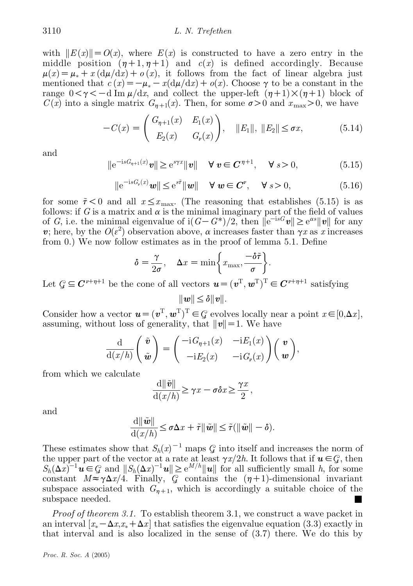with  $||E(x)|| = O(x)$ , where  $E(x)$  is constructed to have a zero entry in the middle position  $(n+1, n+1)$  and  $c(x)$  is defined accordingly. Because  $\mu(x) = \mu_* + x \left( \frac{d\mu}{dx} \right) + o(x)$ , it follows from the fact of linear algebra just mentioned that  $c(x) = -\mu_* - x(\frac{d\mu}{dx}) + o(x)$ . Choose  $\gamma$  to be a constant in the range  $0 < \gamma < -d$  Im  $\mu/dx$ , and collect the upper-left  $(\eta+1) \times (\eta+1)$  block of  $C(x)$  into a single matrix  $G_{n+1}(x)$ . Then, for some  $\sigma > 0$  and  $x_{\text{max}} > 0$ , we have

$$
-C(x) = \begin{pmatrix} G_{\eta+1}(x) & E_1(x) \\ E_2(x) & G_{\nu}(x) \end{pmatrix}, \quad ||E_1||, ||E_2|| \le \sigma x,
$$
 (5.14)

and

$$
\|e^{-isG_{\eta+1}(x)}\boldsymbol{v}\| \geq e^{s\gamma x} \|\boldsymbol{v}\| \quad \forall \ \boldsymbol{v} \in \mathbb{C}^{\eta+1}, \quad \forall \ s > 0,
$$
 (5.15)

$$
\|e^{-isG_{\nu}(x)}\mathbf{w}\| \leq e^{s\tilde{\tau}} \|\mathbf{w}\| \quad \forall \mathbf{w} \in \mathbf{C}^{\nu}, \quad \forall s > 0,
$$
\n(5.16)

for some  $\tilde{\tau}$  < 0 and all  $x \leq x_{\text{max}}$ . (The reasoning that establishes (5.15) is as follows: if G is a matrix and  $\alpha$  is the minimal imaginary part of the field of values of G, i.e. the minimal eigenvalue of  $\mathrm{i} (G - G^*)/2$ , then  $\|\mathbf{e}^{-\mathrm{i} sG}\mathbf{v}\| \geq \mathbf{e}^{\alpha s} \|\mathbf{v}\|$  for any v; here, by the  $O(\varepsilon^2)$  observation above,  $\alpha$  increases faster than  $\alpha x$  as x increases from 0.) We now follow estimates as in the proof of lemma 5.1. Define

$$
\delta = \frac{\gamma}{2\sigma}, \quad \Delta x = \min\left\{x_{\max}, \frac{-\delta\tilde{\tau}}{\sigma}\right\}.
$$

Let  $\mathcal{G} \subseteq \mathbb{C}^{\nu+\eta+1}$  be the cone of all vectors  $\mathbf{u} = (\mathbf{v}^T, \mathbf{w}^T)^T \in \mathbb{C}^{\nu+\eta+1}$  satisfying  $||w|| \leq \delta ||v||.$ 

Consider how a vector  $\mathbf{u} = (\mathbf{v}^T, \mathbf{w}^T)^T \in \mathcal{G}$  evolves locally near a point  $x \in [0, \Delta x]$ , assuming, without loss of generality, that  $||v|| = 1$ . We have

$$
\frac{\mathrm{d}}{\mathrm{d}(x/h)}\left(\begin{array}{c}\tilde{\boldsymbol{v}}\\ \tilde{\boldsymbol{w}}\end{array}\right)=\left(\begin{array}{cc}-\mathrm{i}G_{\eta+1}(x)&-\mathrm{i}E_1(x)\\ -\mathrm{i}E_2(x)&-\mathrm{i}G_{\nu}(x)\end{array}\right)\left(\begin{array}{c}\boldsymbol{v}\\ \boldsymbol{w}\end{array}\right),\,
$$

from which we calculate

$$
\frac{\mathrm{d}\|\tilde{\mathbf{v}}\|}{\mathrm{d}(x/h)} \geq \gamma x - \sigma \delta x \geq \frac{\gamma x}{2},
$$

and

$$
\frac{\mathrm{d}\|\tilde{\boldsymbol{w}}\|}{\mathrm{d}(x/h)} \leq \sigma \Delta x + \tilde{\tau} \|\tilde{\boldsymbol{w}}\| \leq \tilde{\tau}(\|\tilde{\boldsymbol{w}}\| - \delta).
$$

These estimates show that  $S_h(x)^{-1}$  maps  $\mathcal G$  into itself and increases the norm of the upper part of the vector at a rate at least  $\gamma x/2h$ . It follows that if  $u \in \mathcal{G}$ , then  $S_h(\Delta x)^{-1}$   $u \in \mathcal{G}$  and  $||S_h(\Delta x)^{-1}u|| \ge e^{M/h}||u||$  for all sufficiently small h, for some constant  $M \approx \gamma \Delta x/4$ . Finally,  $\mathcal{G}$  contains the  $(\eta+1)$ -dimensional invariant subspace associated with  $G_{n+1}$ , which is accordingly a suitable choice of the subspace needed.  $\blacksquare$ 

Proof of theorem 3.1. To establish theorem 3.1, we construct a wave packet in an interval  $[x_* - \Delta x, x_* + \Delta x]$  that satisfies the eigenvalue equation (3.3) exactly in that interval and is also localized in the sense of (3.7) there. We do this by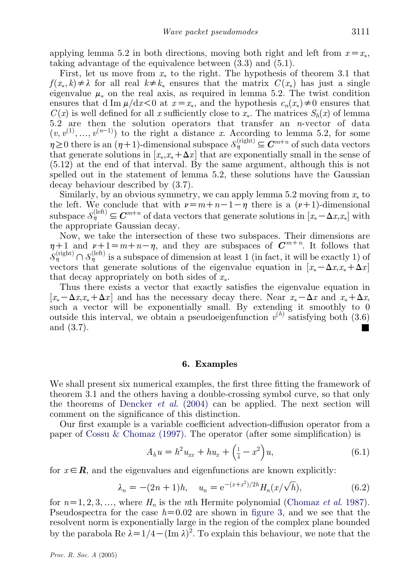applying lemma 5.2 in both directions, moving both right and left from  $x = x_*$ , taking advantage of the equivalence between (3.3) and (5.1).

First, let us move from  $x_*$  to the right. The hypothesis of theorem 3.1 that  $f(x_*, k) \neq \lambda$  for all real  $k \neq k_*$  ensures that the matrix  $C(x_*)$  has just a single eigenvalue  $\mu_*$  on the real axis, as required in lemma 5.2. The twist condition ensures that d Im  $\mu/dx < 0$  at  $x = x_*$ , and the hypothesis  $c_n(x_*) \neq 0$  ensures that  $C(x)$  is well defined for all x sufficiently close to  $x_*$ . The matrices  $S_h(x)$  of lemma 5.2 are then the solution operators that transfer an  $n$ -vector of data  $(v, v^{(1)}, \ldots, v^{(n-1)})$  to the right a distance x. According to lemma 5.2, for some  $\eta \geq 0$  there is an  $(\eta+1)$ -dimensional subspace  $\mathcal{S}^{(\text{right})}_{\eta} \subseteq \mathbb{C}^{m+n}$  of such data vectors that generate solutions in  $[x_*,x_* + \Delta x]$  that are exponentially small in the sense of (5.12) at the end of that interval. By the same argument, although this is not spelled out in the statement of lemma 5.2, these solutions have the Gaussian decay behaviour described by (3.7).

Similarly, by an obvious symmetry, we can apply lemma 5.2 moving from  $x_*$  to the left. We conclude that with  $\nu = m+n-1-\eta$  there is a  $(\nu+1)$ -dimensional subspace  $\mathcal{S}_{\eta}^{(\text{left})} \subseteq \mathbb{C}^{m+n}$  of data vectors that generate solutions in  $[x_* - \Delta x, x_*]$  with the appropriate Gaussian decay.

Now, we take the intersection of these two subspaces. Their dimensions are  $\eta+1$  and  $\nu+1=m+n-\eta$ , and they are subspaces of  $C^{m+n}$ . It follows that  $S_{\eta}^{(\text{right})} \cap S_{\eta}^{(\text{left})}$  is a subspace of dimension at least 1 (in fact, it will be exactly 1) of vectors that generate solutions of the eigenvalue equation in  $[x_* - \Delta x, x_* + \Delta x]$ that decay appropriately on both sides of  $x_*$ .

Thus there exists a vector that exactly satisfies the eigenvalue equation in  $[x_* - \Delta x, x_* + \Delta x]$  and has the necessary decay there. Near  $x_* - \Delta x$  and  $x_* + \Delta x$ , such a vector will be exponentially small. By extending it smoothly to 0 outside this interval, we obtain a pseudoeigenfunction  $v^{(h)}$  satisfying both (3.6) and  $(3.7)$ .

## 6. Examples

We shall present six numerical examples, the first three fitting the framework of theorem 3.1 and the others having a double-crossing symbol curve, so that only the theorems of [Dencker](#page-22-0) *et al.* (2004) can be applied. The next section will comment on the significance of this distinction.

Our first example is a variable coefficient advection-diffusion operator from a paper of [Cossu & Chomaz \(1997\).](#page-22-0) The operator (after some simplification) is

$$
A_h u = h^2 u_{xx} + h u_x + \left(\frac{1}{4} - x^2\right) u,\tag{6.1}
$$

for  $x \in \mathbf{R}$ , and the eigenvalues and eigenfunctions are known explicitly:

$$
\lambda_n = -(2n+1)h, \quad u_n = e^{-(x+x^2)/2h} H_n(x/\sqrt{h}), \tag{6.2}
$$

for  $n=1, 2, 3, \ldots$ , where  $H_n$  is the nth Hermite polynomial ([Chomaz](#page-22-0) et al. 1987). Pseudospectra for the case  $h=0.02$  are shown in [figure 3](#page-13-0), and we see that the resolvent norm is exponentially large in the region of the complex plane bounded by the parabola Re  $\lambda = 1/4 - (\text{Im }\lambda)^2$ . To explain this behaviour, we note that the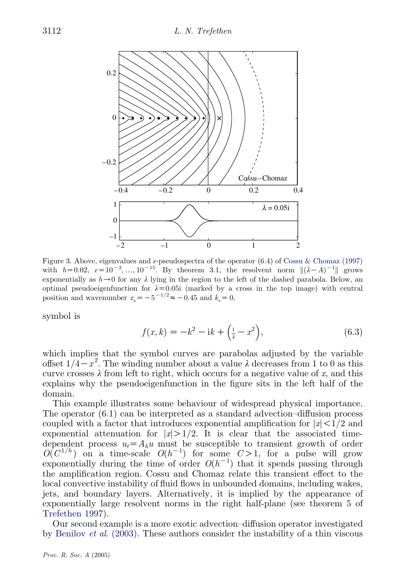<span id="page-13-0"></span>

Figure 3. Above, eigenvalues and  $\varepsilon$ -pseudospectra of the operator (6.4) of [Cossu & Chomaz \(1997\)](#page-22-0) with  $h=0.02$ ,  $\varepsilon=10^{-2},..., 10^{-15}$ . By theorem 3.1, the resolvent norm  $\|(\lambda-A)^{-1}\|$  grows exponentially as  $h\rightarrow 0$  for any  $\lambda$  lying in the region to the left of the dashed parabola. Below, an optimal pseudoeigenfunction for  $\lambda=0.05i$  (marked by a cross in the top image) with central position and wavenumber  $x_* = -5^{-1/2} \approx -0.45$  and  $k_* = 0$ .

symbol is

$$
f(x,k) = -k^2 - ik + \left(\frac{1}{4} - x^2\right),\tag{6.3}
$$

which implies that the symbol curves are parabolas adjusted by the variable offset  $1/4-x^2$ . The winding number about a value  $\lambda$  decreases from 1 to 0 as this curve crosses  $\lambda$  from left to right, which occurs for a negative value of x, and this explains why the pseudoeigenfunction in the figure sits in the left half of the domain.

This example illustrates some behaviour of widespread physical importance. The operator  $(6.1)$  can be interpreted as a standard advection–diffusion process coupled with a factor that introduces exponential amplification for  $|x| < 1/2$  and exponential attenuation for  $|x|>1/2$ . It is clear that the associated timedependent process  $u_t = A_h u$  must be susceptible to transient growth of order  $O(C^{1/h})$  on a time-scale  $O(h^{-1})$  for some  $C>1$ , for a pulse will grow exponentially during the time of order  $O(h^{-1})$  that it spends passing through the amplification region. Cossu and Chomaz relate this transient effect to the local convective instability of fluid flows in unbounded domains, including wakes, jets, and boundary layers. Alternatively, it is implied by the appearance of exponentially large resolvent norms in the right half-plane (see theorem 5 of [Trefethen 1997](#page-23-0)).

Our second example is a more exotic advection–diffusion operator investigated by Benilov et al[. \(2003\).](#page-21-0) These authors consider the instability of a thin viscous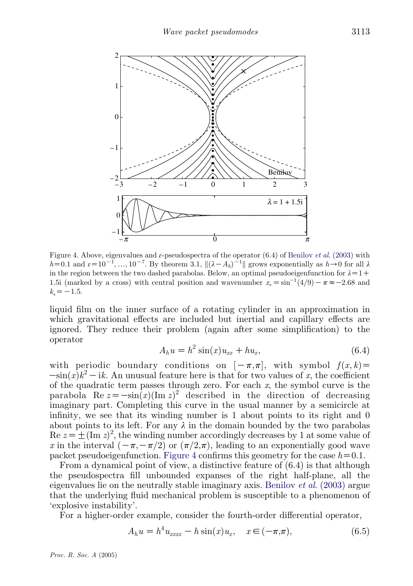

Figure 4. Above, eigenvalues and  $\varepsilon$ -pseudospectra of the operator (6.4) of Benilov *et al.* (2003) with  $h=0.1$  and  $\varepsilon=10^{-1},..., 10^{-7}$ . By theorem 3.1,  $\|(\lambda - A_h)^{-1}\|$  grows exponentially as  $h\rightarrow 0$  for all  $\lambda$ in the region between the two dashed parabolas. Below, an optimal pseudoeigenfunction for  $\lambda=1+$ 1.5i (marked by a cross) with central position and wavenumber  $x_* = \sin^{-1}(4/9) - \pi \approx -2.68$  and  $k_* = -1.5$ .

liquid film on the inner surface of a rotating cylinder in an approximation in which gravitational effects are included but inertial and capillary effects are ignored. They reduce their problem (again after some simplification) to the operator

$$
A_h u = h^2 \sin(x) u_{xx} + h u_x, \qquad (6.4)
$$

with periodic boundary conditions on  $[-\pi,\pi]$ , with symbol  $f(x,k)$  $-\sin(x)k^2 - ik$ . An unusual feature here is that for two values of x, the coefficient of the quadratic term passes through zero. For each  $x$ , the symbol curve is the parabola Re  $z = -\sin(x)(\text{Im } z)^2$  described in the direction of decreasing imaginary part. Completing this curve in the usual manner by a semicircle at infinity, we see that its winding number is 1 about points to its right and 0 about points to its left. For any  $\lambda$  in the domain bounded by the two parabolas Re  $z = \pm (\text{Im } z)^2$ , the winding number accordingly decreases by 1 at some value of x in the interval  $(-\pi,-\pi/2)$  or  $(\pi/2,\pi)$ , leading to an exponentially good wave packet pseudoeigenfunction. Figure 4 confirms this geometry for the case  $h=0.1$ .

From a dynamical point of view, a distinctive feature of (6.4) is that although the pseudospectra fill unbounded expanses of the right half-plane, all the eigenvalues lie on the neutrally stable imaginary axis. Benilov *et al.* (2003) argue that the underlying fluid mechanical problem is susceptible to a phenomenon of 'explosive instability'.

For a higher-order example, consider the fourth-order differential operator,

$$
A_h u = h^4 u_{xxxx} - h \sin(x) u_x, \quad x \in (-\pi, \pi), \tag{6.5}
$$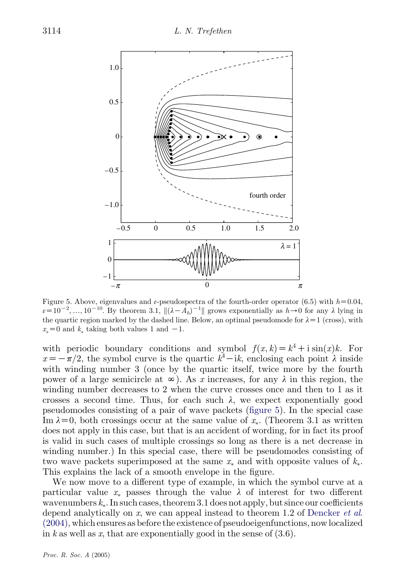

Figure 5. Above, eigenvalues and  $\varepsilon$ -pseudospectra of the fourth-order operator (6.5) with  $h=0.04$ ,  $\varepsilon = 10^{-2}, ..., 10^{-10}$ . By theorem 3.1,  $\| (\lambda - A_h)^{-1} \|$  grows exponentially as  $h \to 0$  for any  $\lambda$  lying in the quartic region marked by the dashed line. Below, an optimal pseudomode for  $\lambda = 1$  (cross), with  $x_* = 0$  and  $k_*$  taking both values 1 and  $-1$ .

with periodic boundary conditions and symbol  $f(x, k) = k^4 + i \sin(x)k$ . For  $x = -\frac{\tau}{2}$ , the symbol curve is the quartic  $k^4 - ik$ , enclosing each point  $\lambda$  inside with winding number 3 (once by the quartic itself, twice more by the fourth power of a large semicircle at  $\infty$ ). As x increases, for any  $\lambda$  in this region, the winding number decreases to 2 when the curve crosses once and then to 1 as it crosses a second time. Thus, for each such  $\lambda$ , we expect exponentially good pseudomodes consisting of a pair of wave packets (figure 5). In the special case Im  $\lambda = 0$ , both crossings occur at the same value of  $x_*$ . (Theorem 3.1 as written does not apply in this case, but that is an accident of wording, for in fact its proof is valid in such cases of multiple crossings so long as there is a net decrease in winding number.) In this special case, there will be pseudomodes consisting of two wave packets superimposed at the same  $x_*$  and with opposite values of  $k_*$ . This explains the lack of a smooth envelope in the figure.

We now move to a different type of example, in which the symbol curve at a particular value  $x_*$  passes through the value  $\lambda$  of interest for two different wavenumbers  $k_*$ . In such cases, theorem 3.1 does not apply, but since our coefficients depend analytically on  $x$ , we can appeal instead to theorem 1.2 of [Dencker](#page-22-0) *et al.* [\(2004\)](#page-22-0), which ensures as before the existence of pseudoeigenfunctions, now localized in k as well as x, that are exponentially good in the sense of  $(3.6)$ .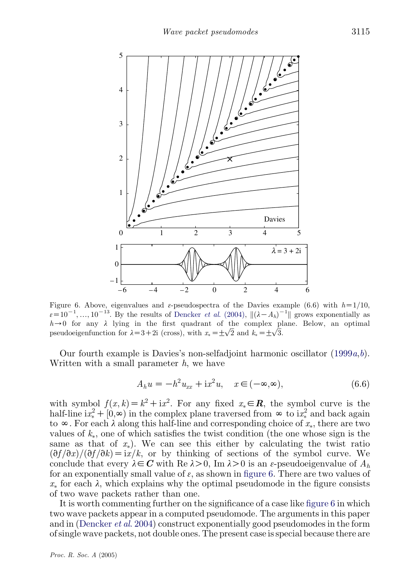

Figure 6. Above, eigenvalues and  $\varepsilon$ -pseudospectra of the Davies example (6.6) with  $h=1/10$ ,  $\varepsilon = 10^{-1}, ..., 10^{-13}$ . By the results of [Dencker](#page-22-0) *et al.* (2004),  $\| (\lambda - A_h)^{-1} \|$  grows exponentially as  $h\rightarrow 0$  for any  $\lambda$  lying in the first quadrant of the complex plane. Below, an optimal  $n \rightarrow 0$  for any  $\lambda$  fying in the first quadrant of the complex proposed oeigenfunction for  $\lambda = 3 + 2i$  (cross), with  $x_* = \pm \sqrt{2}$  and  $k_* = \pm \sqrt{3}$ .

Our fourth example is Davies's non-selfadjoint harmonic oscillator  $(1999a,b)$  $(1999a,b)$  $(1999a,b)$  $(1999a,b)$  $(1999a,b)$ . Written with a small parameter  $h$ , we have

$$
A_h u = -h^2 u_{xx} + i x^2 u, \quad x \in (-\infty, \infty), \tag{6.6}
$$

with symbol  $f(x, k) = k^2 + ix^2$ . For any fixed  $x_* \in \mathbb{R}$ , the symbol curve is the half-line  $ix^2_* + [0,\infty)$  in the complex plane traversed from  $\infty$  to  $ix^2_*$  and back again to  $\infty$ . For each  $\lambda$  along this half-line and corresponding choice of  $x_*$ , there are two values of  $k_{*}$ , one of which satisfies the twist condition (the one whose sign is the same as that of  $x_*$ ). We can see this either by calculating the twist ratio  $\left(\frac{\partial f}{\partial x}\right)$   $\left(\frac{\partial f}{\partial k}\right) = i x/k$ , or by thinking of sections of the symbol curve. We conclude that every  $\lambda \in \mathbb{C}$  with Re  $\lambda > 0$ , Im  $\lambda > 0$  is an  $\varepsilon$ -pseudoeigenvalue of  $A_h$ for an exponentially small value of  $\varepsilon$ , as shown in figure 6. There are two values of  $x_*$  for each  $\lambda$ , which explains why the optimal pseudomode in the figure consists of two wave packets rather than one.

It is worth commenting further on the significance of a case like figure 6 in which two wave packets appear in a computed pseudomode. The arguments in this paper and in ([Dencker](#page-22-0) et al. 2004) construct exponentially good pseudomodes in the form of single wave packets, not double ones. The present case is special because there are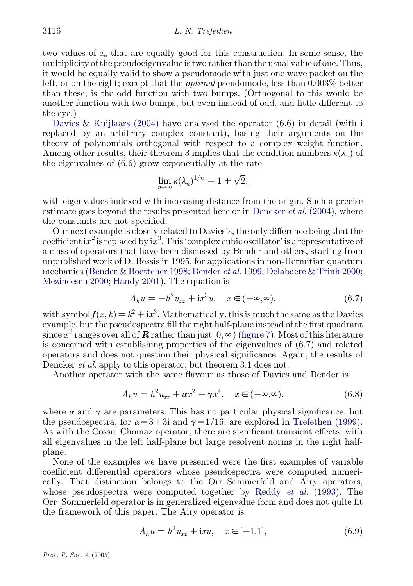two values of  $x_*$  that are equally good for this construction. In some sense, the multiplicity of the pseudoeigenvalue is two rather than the usual value of one. Thus, it would be equally valid to show a pseudomode with just one wave packet on the left, or on the right; except that the optimal pseudomode, less than 0.003% better than these, is the odd function with two bumps. (Orthogonal to this would be another function with two bumps, but even instead of odd, and little different to the eye.)

Davies & Kuijlaars  $(2004)$  have analysed the operator  $(6.6)$  in detail (with i replaced by an arbitrary complex constant), basing their arguments on the theory of polynomials orthogonal with respect to a complex weight function. Among other results, their theorem 3 implies that the condition numbers  $\kappa(\lambda_n)$  of the eigenvalues of (6.6) grow exponentially at the rate

$$
\lim_{n\to\infty}\kappa(\lambda_n)^{1/n}=1+\sqrt{2},
$$

with eigenvalues indexed with increasing distance from the origin. Such a precise estimate goes beyond the results presented here or in [Dencker](#page-22-0)  $et al. (2004)$ , where the constants are not specified.

Our next example is closely related to Davies's, the only difference being that the coefficient i $x^2$  is replaced by i $x^3$ . This 'complex cubic oscillator' is a representative of a class of operators that have been discussed by Bender and others, starting from unpublished work of D. Bessis in 1995, for applications in non-Hermitian quantum mechanics [\(Bender & Boettcher 1998](#page-21-0); [Bender](#page-21-0) et al. 1999; [Delabaere & Trinh 2000](#page-22-0); [Mezincescu 2000](#page-22-0); [Handy 2001](#page-22-0)). The equation is

$$
A_h u = -h^2 u_{xx} + \mathrm{i}x^3 u, \quad x \in (-\infty, \infty), \tag{6.7}
$$

with symbol  $f(x, k) = k^2 + ix^3$ . Mathematically, this is much the same as the Davies example, but the pseudospectra fill the right half-plane instead of the first quadrant since  $x^3$  ranges over all of **R** rather than just  $[0,\infty)$  [\(figure 7\)](#page-18-0). Most of this literature is concerned with establishing properties of the eigenvalues of (6.7) and related operators and does not question their physical significance. Again, the results of Dencker *et al.* apply to this operator, but theorem 3.1 does not.

Another operator with the same flavour as those of Davies and Bender is

$$
A_h u = h^2 u_{xx} + \alpha x^2 - \gamma x^4, \quad x \in (-\infty, \infty), \tag{6.8}
$$

where  $\alpha$  and  $\gamma$  are parameters. This has no particular physical significance, but the pseudospectra, for  $\alpha=3+3i$  and  $\gamma=1/16$ , are explored in [Trefethen \(1999\)](#page-23-0). As with the Cossu–Chomaz operator, there are significant transient effects, with all eigenvalues in the left half-plane but large resolvent norms in the right halfplane.

None of the examples we have presented were the first examples of variable coefficient differential operators whose pseudospectra were computed numerically. That distinction belongs to the Orr–Sommerfeld and Airy operators, whose pseudospectra were computed together by Reddy *et al.* (1993). The Orr–Sommerfeld operator is in generalized eigenvalue form and does not quite fit the framework of this paper. The Airy operator is

$$
A_h u = h^2 u_{xx} + i x u, \quad x \in [-1,1], \tag{6.9}
$$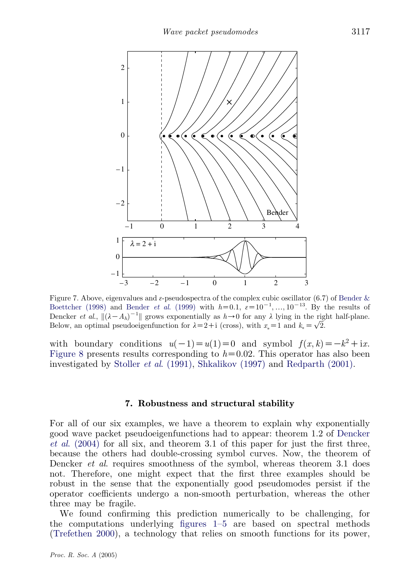<span id="page-18-0"></span>

Figure 7. Above, eigenvalues and  $\varepsilon$ -pseudospectra of the complex cubic oscillator (6.7) of Bender  $\&$ [Boettcher \(1998\)](#page-21-0) and Bender *et al.* (1999) with  $h=0.1$ ,  $\varepsilon=10^{-1}$ , ...,  $10^{-13}$ . By the results of Dencker *et al.*,  $\| (\lambda - A_h)^{-1} \|$  grows exponentially as  $h \to 0$  for any  $\lambda$  lying in the right half-plane. Dencker *et al.*,  $\|\Delta - A_h\|$   $\|$  grows exponentially as  $h \to 0$  for any  $\lambda$  fying in the right-<br>Below, an optimal pseudoeigenfunction for  $\lambda = 2 + i$  (cross), with  $x_* = 1$  and  $k_* = \sqrt{2}$ .

with boundary conditions  $u(-1)=u(1)=0$  and symbol  $f(x, k)=-k^2+i x$ . [Figure 8](#page-19-0) presents results corresponding to  $h=0.02$ . This operator has also been investigated by Stoller et al[. \(1991\)](#page-23-0), [Shkalikov \(1997\)](#page-22-0) and [Redparth \(2001\).](#page-22-0)

## 7. Robustness and structural stability

For all of our six examples, we have a theorem to explain why exponentially good wave packet pseudoeigenfunctions had to appear: theorem 1.2 of [Dencker](#page-22-0) et al[. \(2004\)](#page-22-0) for all six, and theorem 3.1 of this paper for just the first three, because the others had double-crossing symbol curves. Now, the theorem of Dencker *et al.* requires smoothness of the symbol, whereas theorem 3.1 does not. Therefore, one might expect that the first three examples should be robust in the sense that the exponentially good pseudomodes persist if the operator coefficients undergo a non-smooth perturbation, whereas the other three may be fragile.

We found confirming this prediction numerically to be challenging, for the computations underlying [figures 1–5](#page-3-0) are based on spectral methods [\(Trefethen 2000\)](#page-23-0), a technology that relies on smooth functions for its power,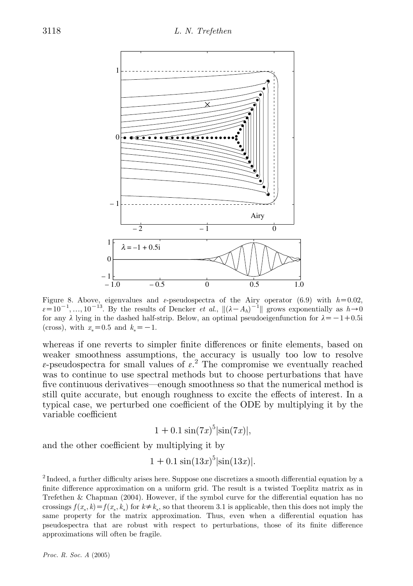<span id="page-19-0"></span>

Figure 8. Above, eigenvalues and  $\varepsilon$ -pseudospectra of the Airy operator (6.9) with  $h=0.02$ ,  $\varepsilon = 10^{-1}, ..., 10^{-13}$ . By the results of Dencker *et al.*,  $\| (\lambda - A_h)^{-1} \|$  grows exponentially as  $h \rightarrow 0$ for any  $\lambda$  lying in the dashed half-strip. Below, an optimal pseudoeigenfunction for  $\lambda = -1+0.5i$ (cross), with  $x_* = 0.5$  and  $k_* = -1$ .

whereas if one reverts to simpler finite differences or finite elements, based on weaker smoothness assumptions, the accuracy is usually too low to resolve  $\varepsilon$ -pseudospectra for small values of  $\varepsilon$ <sup>2</sup>. The compromise we eventually reached was to continue to use spectral methods but to choose perturbations that have five continuous derivatives—enough smoothness so that the numerical method is still quite accurate, but enough roughness to excite the effects of interest. In a typical case, we perturbed one coefficient of the ODE by multiplying it by the variable coefficient

$$
1 + 0.1 \sin(7x)^5 |\sin(7x)|,
$$

and the other coefficient by multiplying it by

$$
1 + 0.1 \sin(13x)^5 |\sin(13x)|.
$$

 $^2$  Indeed, a further difficulty arises here. Suppose one discretizes a smooth differential equation by a finite difference approximation on a uniform grid. The result is a twisted Toeplitz matrix as in Trefethen & Chapman (2004). However, if the symbol curve for the differential equation has no crossings  $f(x_*, k) = f(x_*, k_*)$  for  $k \neq k_*$ , so that theorem 3.1 is applicable, then this does not imply the  $\sum_{k}$  for  $\binom{n}{k}$ ,  $\binom{n}{k}$ ,  $\binom{n}{k}$ ,  $\binom{n}{k}$ ,  $\binom{n}{k}$ ,  $\binom{n}{k}$ ,  $\binom{n}{k}$ ,  $\binom{n}{k}$ ,  $\binom{n}{k}$ ,  $\binom{n}{k}$ ,  $\binom{n}{k}$ ,  $\binom{n}{k}$ ,  $\binom{n}{k}$ ,  $\binom{n}{k}$ ,  $\binom{n}{k}$ ,  $\binom{n}{k}$ ,  $\binom{n}{k}$ ,  $\binom{n}{k}$ ,  $\binom{n}{k}$ , pseudospectra that are robust with respect to perturbations, those of its finite difference approximations will often be fragile.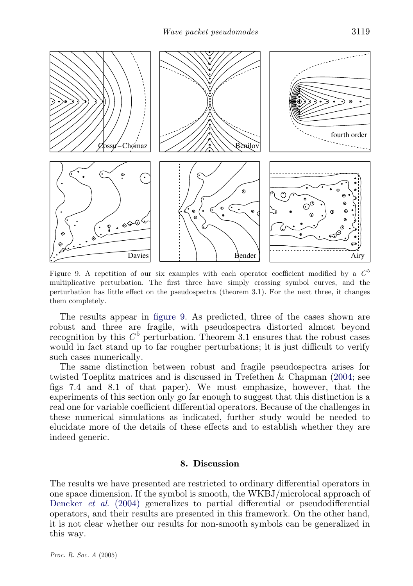

Figure 9. A repetition of our six examples with each operator coefficient modified by a  $C^5$ multiplicative perturbation. The first three have simply crossing symbol curves, and the perturbation has little effect on the pseudospectra (theorem 3.1). For the next three, it changes them completely.

The results appear in figure 9. As predicted, three of the cases shown are robust and three are fragile, with pseudospectra distorted almost beyond recognition by this  $C^5$  perturbation. Theorem 3.1 ensures that the robust cases would in fact stand up to far rougher perturbations; it is just difficult to verify such cases numerically.

The same distinction between robust and fragile pseudospectra arises for twisted Toeplitz matrices and is discussed in Trefethen & Chapman ([2004](#page-23-0); see figs 7.4 and 8.1 of that paper). We must emphasize, however, that the experiments of this section only go far enough to suggest that this distinction is a real one for variable coefficient differential operators. Because of the challenges in these numerical simulations as indicated, further study would be needed to elucidate more of the details of these effects and to establish whether they are indeed generic.

## 8. Discussion

The results we have presented are restricted to ordinary differential operators in one space dimension. If the symbol is smooth, the WKBJ/microlocal approach of Dencker et al[. \(2004\)](#page-22-0) generalizes to partial differential or pseudodifferential operators, and their results are presented in this framework. On the other hand, it is not clear whether our results for non-smooth symbols can be generalized in this way.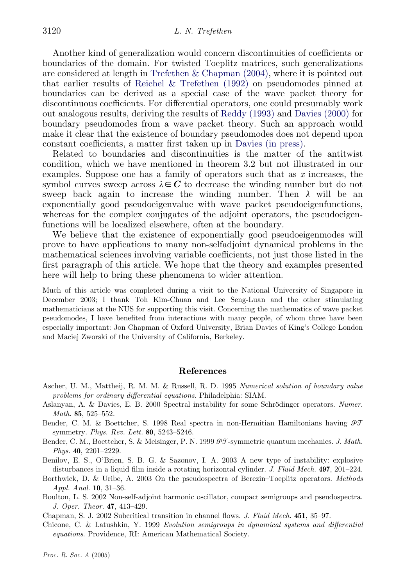<span id="page-21-0"></span>Another kind of generalization would concern discontinuities of coefficients or boundaries of the domain. For twisted Toeplitz matrices, such generalizations are considered at length in [Trefethen & Chapman \(2004\)](#page-23-0), where it is pointed out that earlier results of [Reichel & Trefethen \(1992\)](#page-22-0) on pseudomodes pinned at boundaries can be derived as a special case of the wave packet theory for discontinuous coefficients. For differential operators, one could presumably work out analogous results, deriving the results of [Reddy \(1993\)](#page-22-0) and [Davies \(2000\)](#page-22-0) for boundary pseudomodes from a wave packet theory. Such an approach would make it clear that the existence of boundary pseudomodes does not depend upon constant coefficients, a matter first taken up in [Davies \(in press\)](#page-22-0).

Related to boundaries and discontinuities is the matter of the antitwist condition, which we have mentioned in theorem 3.2 but not illustrated in our examples. Suppose one has a family of operators such that as x increases, the symbol curves sweep across  $\lambda \in \mathbb{C}$  to decrease the winding number but do not sweep back again to increase the winding number. Then  $\lambda$  will be an exponentially good pseudoeigenvalue with wave packet pseudoeigenfunctions, whereas for the complex conjugates of the adjoint operators, the pseudoeigenfunctions will be localized elsewhere, often at the boundary.

We believe that the existence of exponentially good pseudoeigenmodes will prove to have applications to many non-selfadjoint dynamical problems in the mathematical sciences involving variable coefficients, not just those listed in the first paragraph of this article. We hope that the theory and examples presented here will help to bring these phenomena to wider attention.

Much of this article was completed during a visit to the National University of Singapore in December 2003; I thank Toh Kim-Chuan and Lee Seng-Luan and the other stimulating mathematicians at the NUS for supporting this visit. Concerning the mathematics of wave packet pseudomodes, I have benefited from interactions with many people, of whom three have been especially important: Jon Chapman of Oxford University, Brian Davies of King's College London and Maciej Zworski of the University of California, Berkeley.

## References

- Ascher, U. M., Mattheij, R. M. M. & Russell, R. D. 1995 Numerical solution of boundary value problems for ordinary differential equations. Philadelphia: SIAM.
- Aslanyan, A. & Davies, E. B. 2000 Spectral instability for some Schrödinger operators. Numer. Math. 85, 525–552.
- Bender, C. M. & Boettcher, S. 1998 Real spectra in non-Hermitian Hamiltonians having  $\mathcal{PT}$ symmetry. Phys. Rev. Lett. 80, 5243–5246.
- Bender, C. M., Boettcher, S. & Meisinger, P. N. 1999 PT-symmetric quantum mechanics. J. Math. Phys. 40, 2201–2229.

Benilov, E. S., O'Brien, S. B. G. & Sazonov, I. A. 2003 A new type of instability: explosive disturbances in a liquid film inside a rotating horizontal cylinder. J. Fluid Mech. **497**, 201–224.

- Borthwick, D. & Uribe, A. 2003 On the pseudospectra of Berezin–Toeplitz operators. Methods Appl. Anal. 10, 31–36.
- Boulton, L. S. 2002 Non-self-adjoint harmonic oscillator, compact semigroups and pseudospectra. J. Oper. Theor. 47, 413–429.
- Chapman, S. J. 2002 Subcritical transition in channel flows. J. Fluid Mech. 451, 35–97.
- Chicone, C. & Latushkin, Y. 1999 Evolution semigroups in dynamical systems and differential equations. Providence, RI: American Mathematical Society.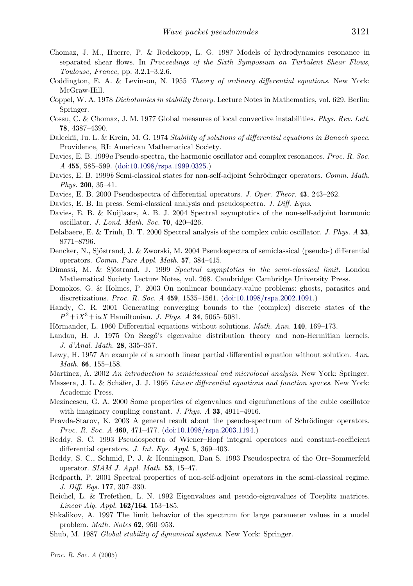- <span id="page-22-0"></span>Chomaz, J. M., Huerre, P. & Redekopp, L. G. 1987 Models of hydrodynamics resonance in separated shear flows. In Proceedings of the Sixth Symposium on Turbulent Shear Flows, Toulouse, France, pp. 3.2.1–3.2.6.
- Coddington, E. A. & Levinson, N. 1955 Theory of ordinary differential equations. New York: McGraw-Hill.
- Coppel, W. A. 1978 Dichotomies in stability theory. Lecture Notes in Mathematics, vol. 629. Berlin: Springer.
- Cossu, C. & Chomaz, J. M. 1977 Global measures of local convective instabilities. Phys. Rev. Lett. 78, 4387–4390.
- Daleckii, Ju. L. & Krein, M. G. 1974 Stability of solutions of differential equations in Banach space. Providence, RI: American Mathematical Society.
- Davies, E. B. 1999a Pseudo-spectra, the harmonic oscillator and complex resonances. Proc. R. Soc. A 455, 585–599. ([doi:10.1098/rspa.1999.0325.\)](http://dx.doi.org/doi:10.1098/rspa.1999.0325)
- Davies, E. B. 1999b Semi-classical states for non-self-adjoint Schrödinger operators. Comm. Math. *Phys.* **200**, 35–41.
- Davies, E. B. 2000 Pseudospectra of differential operators. J. Oper. Theor. **43**, 243–262.
- Davies, E. B. In press. Semi-classical analysis and pseudospectra. J. Diff. Eqns.
- Davies, E. B. & Kuijlaars, A. B. J. 2004 Spectral asymptotics of the non-self-adjoint harmonic oscillator. J. Lond. Math. Soc. 70, 420–426.
- Delabaere, E. & Trinh, D. T. 2000 Spectral analysis of the complex cubic oscillator. J. Phys. A 33, 8771–8796.
- Dencker, N., Sjöstrand, J. & Zworski, M. 2004 Pseudospectra of semiclassical (pseudo-) differential operators. Comm. Pure Appl. Math. 57, 384–415.
- Dimassi, M. & Sjöstrand, J. 1999 Spectral asymptotics in the semi-classical limit. London Mathematical Society Lecture Notes, vol. 268. Cambridge: Cambridge University Press.
- Domokos, G. & Holmes, P. 2003 On nonlinear boundary-value problems: ghosts, parasites and discretizations. Proc. R. Soc. A 459, 1535–1561. ([doi:10.1098/rspa.2002.1091.\)](http://dx.doi.org/doi:10.1098/rspa.2002.1091)
- Handy, C. R. 2001 Generating converging bounds to the (complex) discrete states of the  $P^2 + iX^3 + i\alpha X$  Hamiltonian. *J. Phys. A* **34**, 5065-5081.
- Hörmander, L. 1960 Differential equations without solutions. *Math. Ann.* 140, 169–173.
- Landau, H. J. 1975 On Szegő's eigenvalue distribution theory and non-Hermitian kernels. J. d'Anal. Math. 28, 335–357.
- Lewy, H. 1957 An example of a smooth linear partial differential equation without solution. Ann. Math. 66, 155-158.
- Martinez, A. 2002 An introduction to semiclassical and microlocal analysis. New York: Springer.
- Massera, J. L. & Schäfer, J. J. 1966 Linear differential equations and function spaces. New York: Academic Press.
- Mezincescu, G. A. 2000 Some properties of eigenvalues and eigenfunctions of the cubic oscillator with imaginary coupling constant. J. Phys.  $\ddot{A}$  33, 4911–4916.
- Pravda-Starov, K. 2003 A general result about the pseudo-spectrum of Schrödinger operators. Proc. R. Soc. A 460, 471–477. ([doi:10.1098/rspa.2003.1194.](http://dx.doi.org/doi:10.1098/rspa.2003.1194))
- Reddy, S. C. 1993 Pseudospectra of Wiener–Hopf integral operators and constant-coefficient differential operators. J. Int. Eqs. Appl. 5, 369–403.
- Reddy, S. C., Schmid, P. J. & Henningson, Dan S. 1993 Pseudospectra of the Orr–Sommerfeld operator. SIAM J. Appl. Math. 53, 15–47.
- Redparth, P. 2001 Spectral properties of non-self-adjoint operators in the semi-classical regime. J. Diff. Eqs. 177, 307–330.
- Reichel, L. & Trefethen, L. N. 1992 Eigenvalues and pseudo-eigenvalues of Toeplitz matrices. Linear Alg. Appl. 162/164, 153–185.
- Shkalikov, A. 1997 The limit behavior of the spectrum for large parameter values in a model problem. Math. Notes 62, 950–953.
- Shub, M. 1987 Global stability of dynamical systems. New York: Springer.